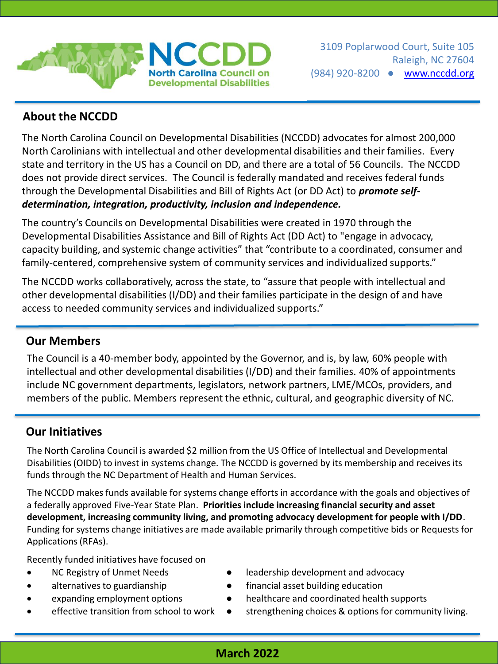

# **About the NCCDD**

The North Carolina Council on Developmental Disabilities (NCCDD) advocates for almost 200,000 North Carolinians with intellectual and other developmental disabilities and their families. Every state and territory in the US has a Council on DD, and there are a total of 56 Councils. The NCCDD does not provide direct services. The Council is federally mandated and receives federal funds through the Developmental Disabilities and Bill of Rights Act (or DD Act) to *promote selfdetermination, integration, productivity, inclusion and independence.*

The country's Councils on Developmental Disabilities were created in 1970 through the Developmental Disabilities Assistance and Bill of Rights Act (DD Act) to "engage in advocacy, capacity building, and systemic change activities" that "contribute to a coordinated, consumer and family-centered, comprehensive system of community services and individualized supports."

The NCCDD works collaboratively, across the state, to "assure that people with intellectual and other developmental disabilities (I/DD) and their families participate in the design of and have access to needed community services and individualized supports."

#### **Our Members**

The Council is a 40-member body, appointed by the Governor, and is, by law, 60% people with intellectual and other developmental disabilities (I/DD) and their families. 40% of appointments include NC government departments, legislators, network partners, LME/MCOs, providers, and members of the public. Members represent the ethnic, cultural, and geographic diversity of NC.

### **Our Initiatives**

The North Carolina Council is awarded \$2 million from the US Office of Intellectual and Developmental Disabilities (OIDD) to invest in systems change. The NCCDD is governed by its membership and receives its funds through the NC Department of Health and Human Services.

The NCCDD makes funds available for systems change efforts in accordance with the goals and objectives of a federally approved Five-Year State Plan. **Priorities include increasing financial security and asset development, increasing community living, and promoting advocacy development for people with I/DD**. Funding for systems change initiatives are made available primarily through competitive bids or Requests for Applications (RFAs).

Recently funded initiatives have focused on

- 
- 
- 
- 
- NC Registry of Unmet Needs **•** leadership development and advocacy
- alternatives to guardianship financial asset building education
- expanding employment options **•** healthcare and coordinated health supports
- effective transition from school to work strengthening choices & options for community living.

### **March 2022**